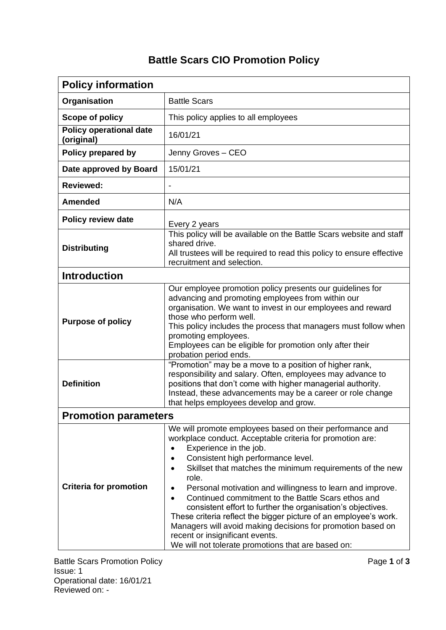## **Battle Scars CIO Promotion Policy**

| <b>Policy information</b>                    |                                                                                                                                                                                                                                                                                                                                                                                                                                                                                                                                                                                                                                                                                             |
|----------------------------------------------|---------------------------------------------------------------------------------------------------------------------------------------------------------------------------------------------------------------------------------------------------------------------------------------------------------------------------------------------------------------------------------------------------------------------------------------------------------------------------------------------------------------------------------------------------------------------------------------------------------------------------------------------------------------------------------------------|
| Organisation                                 | <b>Battle Scars</b>                                                                                                                                                                                                                                                                                                                                                                                                                                                                                                                                                                                                                                                                         |
| Scope of policy                              | This policy applies to all employees                                                                                                                                                                                                                                                                                                                                                                                                                                                                                                                                                                                                                                                        |
| <b>Policy operational date</b><br>(original) | 16/01/21                                                                                                                                                                                                                                                                                                                                                                                                                                                                                                                                                                                                                                                                                    |
| Policy prepared by                           | Jenny Groves - CEO                                                                                                                                                                                                                                                                                                                                                                                                                                                                                                                                                                                                                                                                          |
| Date approved by Board                       | 15/01/21                                                                                                                                                                                                                                                                                                                                                                                                                                                                                                                                                                                                                                                                                    |
| <b>Reviewed:</b>                             | $\overline{\phantom{a}}$                                                                                                                                                                                                                                                                                                                                                                                                                                                                                                                                                                                                                                                                    |
| <b>Amended</b>                               | N/A                                                                                                                                                                                                                                                                                                                                                                                                                                                                                                                                                                                                                                                                                         |
| <b>Policy review date</b>                    | Every 2 years                                                                                                                                                                                                                                                                                                                                                                                                                                                                                                                                                                                                                                                                               |
| <b>Distributing</b>                          | This policy will be available on the Battle Scars website and staff<br>shared drive.<br>All trustees will be required to read this policy to ensure effective<br>recruitment and selection.                                                                                                                                                                                                                                                                                                                                                                                                                                                                                                 |
| <b>Introduction</b>                          |                                                                                                                                                                                                                                                                                                                                                                                                                                                                                                                                                                                                                                                                                             |
| <b>Purpose of policy</b>                     | Our employee promotion policy presents our guidelines for<br>advancing and promoting employees from within our<br>organisation. We want to invest in our employees and reward<br>those who perform well.<br>This policy includes the process that managers must follow when<br>promoting employees.<br>Employees can be eligible for promotion only after their<br>probation period ends.                                                                                                                                                                                                                                                                                                   |
| <b>Definition</b>                            | "Promotion" may be a move to a position of higher rank,<br>responsibility and salary. Often, employees may advance to<br>positions that don't come with higher managerial authority.<br>Instead, these advancements may be a career or role change<br>that helps employees develop and grow.                                                                                                                                                                                                                                                                                                                                                                                                |
| <b>Promotion parameters</b>                  |                                                                                                                                                                                                                                                                                                                                                                                                                                                                                                                                                                                                                                                                                             |
| <b>Criteria for promotion</b>                | We will promote employees based on their performance and<br>workplace conduct. Acceptable criteria for promotion are:<br>Experience in the job.<br>Consistent high performance level.<br>Skillset that matches the minimum requirements of the new<br>role.<br>Personal motivation and willingness to learn and improve.<br>٠<br>Continued commitment to the Battle Scars ethos and<br>$\bullet$<br>consistent effort to further the organisation's objectives.<br>These criteria reflect the bigger picture of an employee's work.<br>Managers will avoid making decisions for promotion based on<br>recent or insignificant events.<br>We will not tolerate promotions that are based on: |

Battle Scars Promotion Policy **Page 1** of **3** Issue: 1 Operational date: 16/01/21 Reviewed on: -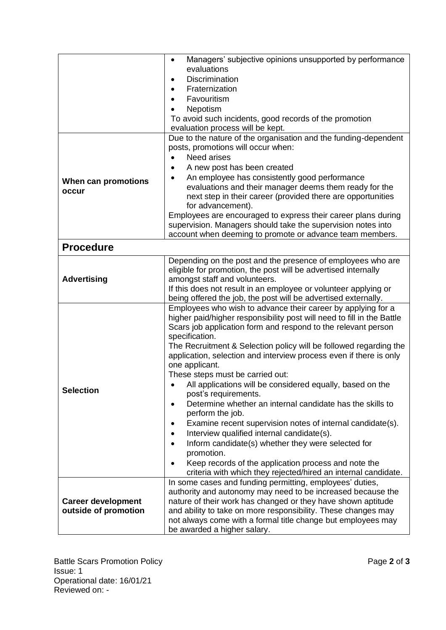|                           | Managers' subjective opinions unsupported by performance<br>$\bullet$                                                         |
|---------------------------|-------------------------------------------------------------------------------------------------------------------------------|
|                           | evaluations                                                                                                                   |
|                           | Discrimination                                                                                                                |
|                           | Fraternization                                                                                                                |
|                           | Favouritism                                                                                                                   |
|                           | Nepotism                                                                                                                      |
|                           | To avoid such incidents, good records of the promotion<br>evaluation process will be kept.                                    |
|                           | Due to the nature of the organisation and the funding-dependent                                                               |
|                           | posts, promotions will occur when:                                                                                            |
|                           | <b>Need arises</b>                                                                                                            |
|                           | A new post has been created<br>$\bullet$                                                                                      |
|                           | An employee has consistently good performance<br>$\bullet$                                                                    |
| When can promotions       | evaluations and their manager deems them ready for the                                                                        |
| occur                     | next step in their career (provided there are opportunities                                                                   |
|                           | for advancement).                                                                                                             |
|                           | Employees are encouraged to express their career plans during                                                                 |
|                           | supervision. Managers should take the supervision notes into                                                                  |
|                           | account when deeming to promote or advance team members.                                                                      |
| <b>Procedure</b>          |                                                                                                                               |
| <b>Advertising</b>        | Depending on the post and the presence of employees who are                                                                   |
|                           | eligible for promotion, the post will be advertised internally                                                                |
|                           | amongst staff and volunteers.                                                                                                 |
|                           | If this does not result in an employee or volunteer applying or                                                               |
|                           | being offered the job, the post will be advertised externally.                                                                |
|                           | Employees who wish to advance their career by applying for a                                                                  |
|                           | higher paid/higher responsibility post will need to fill in the Battle                                                        |
|                           | Scars job application form and respond to the relevant person                                                                 |
|                           | specification.<br>The Recruitment & Selection policy will be followed regarding the                                           |
|                           | application, selection and interview process even if there is only                                                            |
| <b>Selection</b>          | one applicant.                                                                                                                |
|                           | These steps must be carried out:                                                                                              |
|                           | All applications will be considered equally, based on the<br>$\bullet$                                                        |
|                           | post's requirements.                                                                                                          |
|                           | Determine whether an internal candidate has the skills to                                                                     |
|                           | perform the job.                                                                                                              |
|                           | Examine recent supervision notes of internal candidate(s).<br>$\bullet$                                                       |
|                           | Interview qualified internal candidate(s).<br>$\bullet$                                                                       |
|                           | Inform candidate(s) whether they were selected for<br>$\bullet$                                                               |
|                           | promotion.                                                                                                                    |
|                           | Keep records of the application process and note the<br>$\bullet$                                                             |
|                           | criteria with which they rejected/hired an internal candidate.                                                                |
|                           | In some cases and funding permitting, employees' duties,                                                                      |
|                           | authority and autonomy may need to be increased because the                                                                   |
| <b>Career development</b> | nature of their work has changed or they have shown aptitude                                                                  |
| outside of promotion      | and ability to take on more responsibility. These changes may<br>not always come with a formal title change but employees may |
|                           | be awarded a higher salary.                                                                                                   |
|                           |                                                                                                                               |